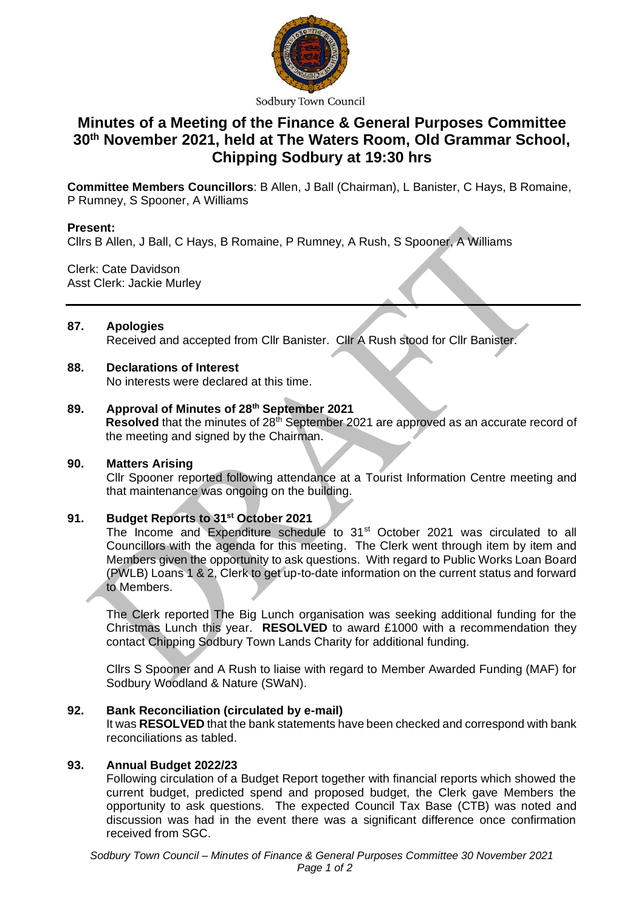

Sodbury Town Council

# **Minutes of a Meeting of the Finance & General Purposes Committee 30th November 2021, held at The Waters Room, Old Grammar School, Chipping Sodbury at 19:30 hrs**

**Committee Members Councillors**: B Allen, J Ball (Chairman), L Banister, C Hays, B Romaine, P Rumney, S Spooner, A Williams

## **Present:**

Cllrs B Allen, J Ball, C Hays, B Romaine, P Rumney, A Rush, S Spooner, A Williams

Clerk: Cate Davidson Asst Clerk: Jackie Murley

## **87. Apologies** Received and accepted from Cllr Banister. Cllr A Rush stood for Cllr Banister.

## **88. Declarations of Interest**

No interests were declared at this time.

## **89. Approval of Minutes of 28th September 2021**

**Resolved** that the minutes of 28<sup>th</sup> September 2021 are approved as an accurate record of the meeting and signed by the Chairman.

#### **90. Matters Arising**

Cllr Spooner reported following attendance at a Tourist Information Centre meeting and that maintenance was ongoing on the building.

# **91. Budget Reports to 31st October 2021**

The Income and Expenditure schedule to 31<sup>st</sup> October 2021 was circulated to all Councillors with the agenda for this meeting. The Clerk went through item by item and Members given the opportunity to ask questions. With regard to Public Works Loan Board (PWLB) Loans 1 & 2, Clerk to get up-to-date information on the current status and forward to Members.

The Clerk reported The Big Lunch organisation was seeking additional funding for the Christmas Lunch this year. **RESOLVED** to award £1000 with a recommendation they contact Chipping Sodbury Town Lands Charity for additional funding.

Cllrs S Spooner and A Rush to liaise with regard to Member Awarded Funding (MAF) for Sodbury Woodland & Nature (SWaN).

#### **92. Bank Reconciliation (circulated by e-mail)**

It was **RESOLVED** that the bank statements have been checked and correspond with bank reconciliations as tabled.

### **93. Annual Budget 2022/23**

Following circulation of a Budget Report together with financial reports which showed the current budget, predicted spend and proposed budget, the Clerk gave Members the opportunity to ask questions. The expected Council Tax Base (CTB) was noted and discussion was had in the event there was a significant difference once confirmation received from SGC.